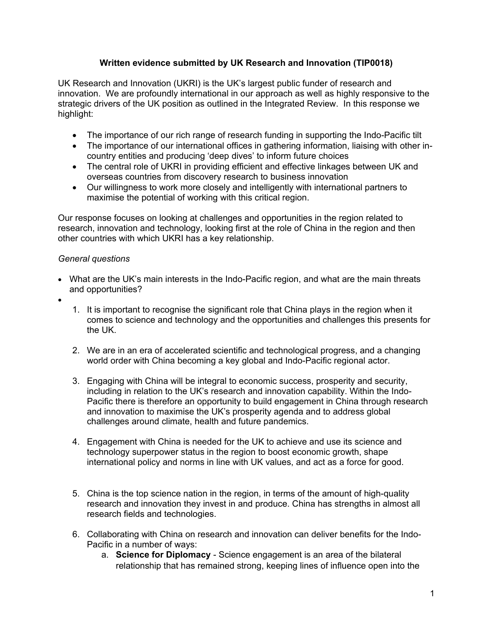# **Written evidence submitted by UK Research and Innovation (TIP0018)**

UK Research and Innovation (UKRI) is the UK's largest public funder of research and innovation. We are profoundly international in our approach as well as highly responsive to the strategic drivers of the UK position as outlined in the Integrated Review. In this response we highlight:

- The importance of our rich range of research funding in supporting the Indo-Pacific tilt
- The importance of our international offices in gathering information, liaising with other incountry entities and producing 'deep dives' to inform future choices
- The central role of UKRI in providing efficient and effective linkages between UK and overseas countries from discovery research to business innovation
- Our willingness to work more closely and intelligently with international partners to maximise the potential of working with this critical region.

Our response focuses on looking at challenges and opportunities in the region related to research, innovation and technology, looking first at the role of China in the region and then other countries with which UKRI has a key relationship.

### *General questions*

- What are the UK's main interests in the Indo-Pacific region, and what are the main threats and opportunities?
- $\bullet$
- 1. It is important to recognise the significant role that China plays in the region when it comes to science and technology and the opportunities and challenges this presents for the UK.
- 2. We are in an era of accelerated scientific and technological progress, and a changing world order with China becoming a key global and Indo-Pacific regional actor.
- 3. Engaging with China will be integral to economic success, prosperity and security, including in relation to the UK's research and innovation capability. Within the Indo-Pacific there is therefore an opportunity to build engagement in China through research and innovation to maximise the UK's prosperity agenda and to address global challenges around climate, health and future pandemics.
- 4. Engagement with China is needed for the UK to achieve and use its science and technology superpower status in the region to boost economic growth, shape international policy and norms in line with UK values, and act as a force for good.
- 5. China is the top science nation in the region, in terms of the amount of high-quality research and innovation they invest in and produce. China has strengths in almost all research fields and technologies.
- 6. Collaborating with China on research and innovation can deliver benefits for the Indo-Pacific in a number of ways:
	- a. **Science for Diplomacy** Science engagement is an area of the bilateral relationship that has remained strong, keeping lines of influence open into the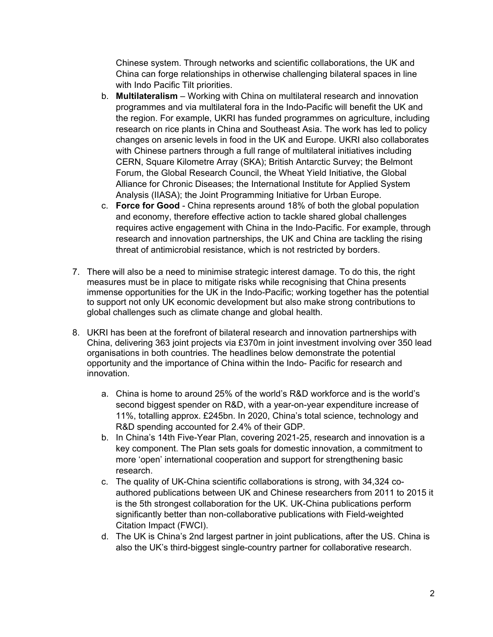Chinese system. Through networks and scientific collaborations, the UK and China can forge relationships in otherwise challenging bilateral spaces in line with Indo Pacific Tilt priorities.

- b. **Multilateralism** Working with China on multilateral research and innovation programmes and via multilateral fora in the Indo-Pacific will benefit the UK and the region. For example, UKRI has funded programmes on agriculture, including research on rice plants in China and Southeast Asia. The work has led to policy changes on arsenic levels in food in the UK and Europe. UKRI also collaborates with Chinese partners through a full range of multilateral initiatives including CERN, Square Kilometre Array (SKA); British Antarctic Survey; the Belmont Forum, the Global Research Council, the Wheat Yield Initiative, the Global Alliance for Chronic Diseases; the International Institute for Applied System Analysis (IIASA); the Joint Programming Initiative for Urban Europe.
- c. **Force for Good** China represents around 18% of both the global population and economy, therefore effective action to tackle shared global challenges requires active engagement with China in the Indo-Pacific. For example, through research and innovation partnerships, the UK and China are tackling the rising threat of antimicrobial resistance, which is not restricted by borders.
- 7. There will also be a need to minimise strategic interest damage. To do this, the right measures must be in place to mitigate risks while recognising that China presents immense opportunities for the UK in the Indo-Pacific; working together has the potential to support not only UK economic development but also make strong contributions to global challenges such as climate change and global health.
- 8. UKRI has been at the forefront of bilateral research and innovation partnerships with China, delivering 363 joint projects via £370m in joint investment involving over 350 lead organisations in both countries. The headlines below demonstrate the potential opportunity and the importance of China within the Indo- Pacific for research and innovation.
	- a. China is home to around 25% of the world's R&D workforce and is the world's second biggest spender on R&D, with a year-on-year expenditure increase of 11%, totalling approx. £245bn. In 2020, China's total science, technology and R&D spending accounted for 2.4% of their GDP.
	- b. In China's 14th Five-Year Plan, covering 2021-25, research and innovation is a key component. The Plan sets goals for domestic innovation, a commitment to more 'open' international cooperation and support for strengthening basic research.
	- c. The quality of UK-China scientific collaborations is strong, with 34,324 coauthored publications between UK and Chinese researchers from 2011 to 2015 it is the 5th strongest collaboration for the UK. UK-China publications perform significantly better than non-collaborative publications with Field-weighted Citation Impact (FWCI).
	- d. The UK is China's 2nd largest partner in joint publications, after the US. China is also the UK's third-biggest single-country partner for collaborative research.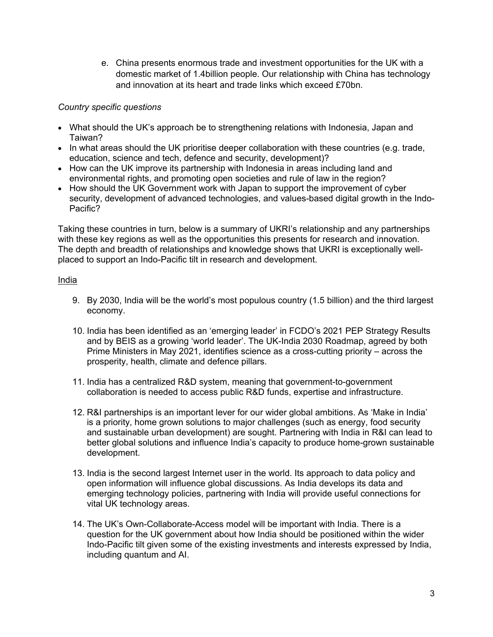e. China presents enormous trade and investment opportunities for the UK with a domestic market of 1.4billion people. Our relationship with China has technology and innovation at its heart and trade links which exceed £70bn.

## *Country specific questions*

- What should the UK's approach be to strengthening relations with Indonesia, Japan and Taiwan?
- In what areas should the UK prioritise deeper collaboration with these countries (e.g. trade, education, science and tech, defence and security, development)?
- How can the UK improve its partnership with Indonesia in areas including land and environmental rights, and promoting open societies and rule of law in the region?
- How should the UK Government work with Japan to support the improvement of cyber security, development of advanced technologies, and values-based digital growth in the Indo-Pacific?

Taking these countries in turn, below is a summary of UKRI's relationship and any partnerships with these key regions as well as the opportunities this presents for research and innovation. The depth and breadth of relationships and knowledge shows that UKRI is exceptionally wellplaced to support an Indo-Pacific tilt in research and development.

### India

- 9. By 2030, India will be the world's most populous country (1.5 billion) and the third largest economy.
- 10. India has been identified as an 'emerging leader' in FCDO's 2021 PEP Strategy Results and by BEIS as a growing 'world leader'. The UK-India 2030 Roadmap, agreed by both Prime Ministers in May 2021, identifies science as a cross-cutting priority – across the prosperity, health, climate and defence pillars.
- 11. India has a centralized R&D system, meaning that government-to-government collaboration is needed to access public R&D funds, expertise and infrastructure.
- 12. R&I partnerships is an important lever for our wider global ambitions. As 'Make in India' is a priority, home grown solutions to major challenges (such as energy, food security and sustainable urban development) are sought. Partnering with India in R&I can lead to better global solutions and influence India's capacity to produce home-grown sustainable development.
- 13. India is the second largest Internet user in the world. Its approach to data policy and open information will influence global discussions. As India develops its data and emerging technology policies, partnering with India will provide useful connections for vital UK technology areas.
- 14. The UK's Own-Collaborate-Access model will be important with India. There is a question for the UK government about how India should be positioned within the wider Indo-Pacific tilt given some of the existing investments and interests expressed by India, including quantum and AI.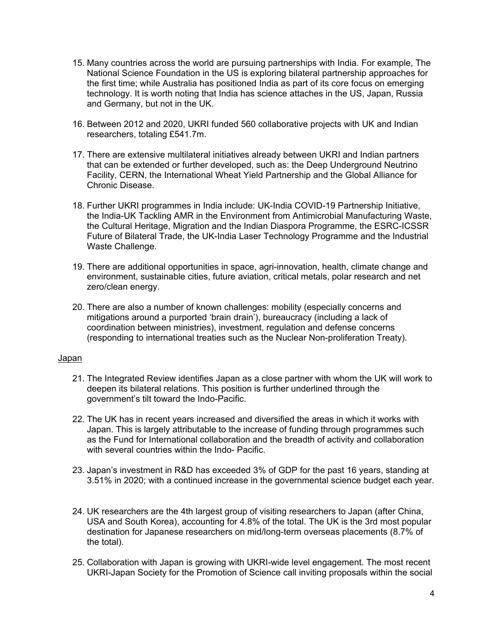- 15. Many countries across the world are pursuing partnerships with India. For example, The National Science Foundation in the US is exploring bilateral partnership approaches for the first time; while Australia has positioned India as part of its core focus on emerging technology. It is worth noting that India has science attaches in the US, Japan, Russia and Germany, but not in the UK.
- 16. Between 2012 and 2020, UKRI funded 560 collaborative projects with UK and Indian researchers, totaling £541.7m.
- 17. There are extensive multilateral initiatives already between UKRI and Indian partners that can be extended or further developed, such as: the Deep Underground Neutrino Facility, CERN, the International Wheat Yield Partnership and the Global Alliance for Chronic Disease.
- 18. Further UKRI programmes in India include: UK-India COVID-19 Partnership Initiative, the India-UK Tackling AMR in the Environment from Antimicrobial Manufacturing Waste, the Cultural Heritage, Migration and the Indian Diaspora Programme, the ESRC-ICSSR Future of Bilateral Trade, the UK-India Laser Technology Programme and the Industrial Waste Challenge.
- 19. There are additional opportunities in space, agri-innovation, health, climate change and environment, sustainable cities, future aviation, critical metals, polar research and net zero/clean energy.
- 20. There are also a number of known challenges: mobility (especially concerns and mitigations around a purported 'brain drain'), bureaucracy (including a lack of coordination between ministries), investment, regulation and defense concerns (responding to international treaties such as the Nuclear Non-proliferation Treaty).

#### Japan

- 21. The Integrated Review identifies Japan as a close partner with whom the UK will work to deepen its bilateral relations. This position is further underlined through the government's tilt toward the Indo-Pacific.
- 22. The UK has in recent years increased and diversified the areas in which it works with Japan. This is largely attributable to the increase of funding through programmes such as the Fund for International collaboration and the breadth of activity and collaboration with several countries within the Indo- Pacific.
- 23. Japan's investment in R&D has exceeded 3% of GDP for the past 16 years, standing at 3.51% in 2020; with a continued increase in the governmental science budget each year.
- 24. UK researchers are the 4th largest group of visiting researchers to Japan (after China, USA and South Korea), accounting for 4.8% of the total. The UK is the 3rd most popular destination for Japanese researchers on mid/long-term overseas placements (8.7% of the total).
- 25. Collaboration with Japan is growing with UKRI-wide level engagement. The most recent UKRI-Japan Society for the Promotion of Science call inviting proposals within the social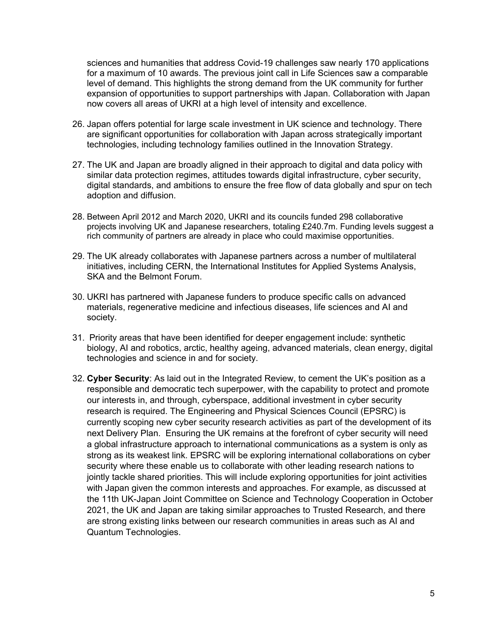sciences and humanities that address Covid-19 challenges saw nearly 170 applications for a maximum of 10 awards. The previous joint call in Life Sciences saw a comparable level of demand. This highlights the strong demand from the UK community for further expansion of opportunities to support partnerships with Japan. Collaboration with Japan now covers all areas of UKRI at a high level of intensity and excellence.

- 26. Japan offers potential for large scale investment in UK science and technology. There are significant opportunities for collaboration with Japan across strategically important technologies, including technology families outlined in the Innovation Strategy.
- 27. The UK and Japan are broadly aligned in their approach to digital and data policy with similar data protection regimes, attitudes towards digital infrastructure, cyber security, digital standards, and ambitions to ensure the free flow of data globally and spur on tech adoption and diffusion.
- 28. Between April 2012 and March 2020, UKRI and its councils funded 298 collaborative projects involving UK and Japanese researchers, totaling £240.7m. Funding levels suggest a rich community of partners are already in place who could maximise opportunities.
- 29. The UK already collaborates with Japanese partners across a number of multilateral initiatives, including CERN, the International Institutes for Applied Systems Analysis, SKA and the Belmont Forum.
- 30. UKRI has partnered with Japanese funders to produce specific calls on advanced materials, regenerative medicine and infectious diseases, life sciences and AI and society.
- 31. Priority areas that have been identified for deeper engagement include: synthetic biology, AI and robotics, arctic, healthy ageing, advanced materials, clean energy, digital technologies and science in and for society.
- 32. **Cyber Security**: As laid out in the Integrated Review, to cement the UK's position as a responsible and democratic tech superpower, with the capability to protect and promote our interests in, and through, cyberspace, additional investment in cyber security research is required. The Engineering and Physical Sciences Council (EPSRC) is currently scoping new cyber security research activities as part of the development of its next Delivery Plan. Ensuring the UK remains at the forefront of cyber security will need a global infrastructure approach to international communications as a system is only as strong as its weakest link. EPSRC will be exploring international collaborations on cyber security where these enable us to collaborate with other leading research nations to jointly tackle shared priorities. This will include exploring opportunities for joint activities with Japan given the common interests and approaches. For example, as discussed at the 11th UK-Japan Joint Committee on Science and Technology Cooperation in October 2021, the UK and Japan are taking similar approaches to Trusted Research, and there are strong existing links between our research communities in areas such as AI and Quantum Technologies.